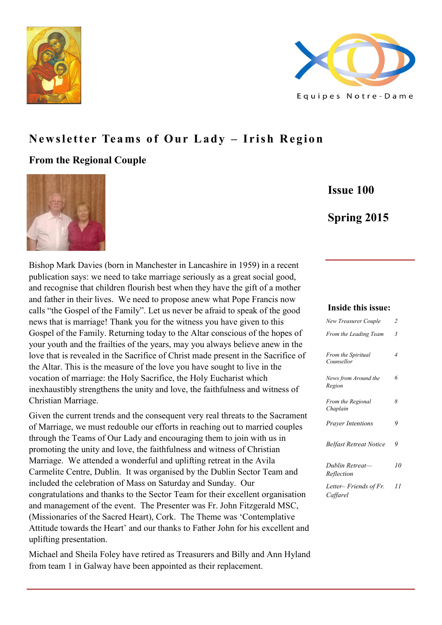



# **Newsletter Teams of Our Lady – Irish Region**

# **From the Regional Couple**



**Issue 100**

# **Spring 2015**

Bishop Mark Davies (born in Manchester in Lancashire in 1959) in a recent publication says: we need to take marriage seriously as a great social good, and recognise that children flourish best when they have the gift of a mother and father in their lives. We need to propose anew what Pope Francis now calls "the Gospel of the Family". Let us never be afraid to speak of the good news that is marriage! Thank you for the witness you have given to this Gospel of the Family. Returning today to the Altar conscious of the hopes of your youth and the frailties of the years, may you always believe anew in the love that is revealed in the Sacrifice of Christ made present in the Sacrifice of the Altar. This is the measure of the love you have sought to live in the vocation of marriage: the Holy Sacrifice, the Holy Eucharist which inexhaustibly strengthens the unity and love, the faithfulness and witness of Christian Marriage.

Given the current trends and the consequent very real threats to the Sacrament of Marriage, we must redouble our efforts in reaching out to married couples through the Teams of Our Lady and encouraging them to join with us in promoting the unity and love, the faithfulness and witness of Christian Marriage. We attended a wonderful and uplifting retreat in the Avila Carmelite Centre, Dublin. It was organised by the Dublin Sector Team and included the celebration of Mass on Saturday and Sunday. Our congratulations and thanks to the Sector Team for their excellent organisation and management of the event. The Presenter was Fr. John Fitzgerald MSC, (Missionaries of the Sacred Heart), Cork. The Theme was 'Contemplative Attitude towards the Heart' and our thanks to Father John for his excellent and uplifting presentation.

Michael and Sheila Foley have retired as Treasurers and Billy and Ann Hyland from team 1 in Galway have been appointed as their replacement.

#### **Inside this issue:**

| <b>New Treasurer Couple</b>          | $\overline{2}$ |
|--------------------------------------|----------------|
| From the Leading Team                | 3              |
| From the Spiritual<br>Counsellor     | 4              |
| News from Around the<br>Region       | 6              |
| <b>From the Regional</b><br>Chaplain | 8              |
| <b>Prayer Intentions</b>             | 9              |
| Belfast Retreat Notice               | 9              |
| Dublin Retreat—<br>Reflection        | 10             |
| Letter– Friends of Fr.<br>Caffarel   | 11             |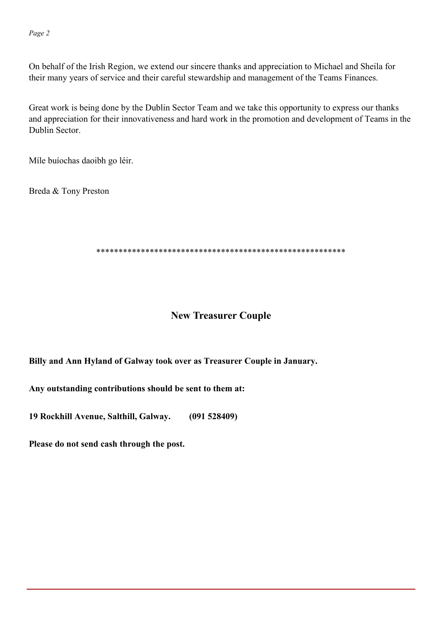On behalf of the Irish Region, we extend our sincere thanks and appreciation to Michael and Sheila for their many years of service and their careful stewardship and management of the Teams Finances.

Great work is being done by the Dublin Sector Team and we take this opportunity to express our thanks and appreciation for their innovativeness and hard work in the promotion and development of Teams in the Dublin Sector.

Míle buíochas daoibh go léir.

Breda & Tony Preston

\*\*\*\*\*\*\*\*\*\*\*\*\*\*\*\*\*\*\*\*\*\*\*\*\*\*\*\*\*\*\*\*\*\*\*\*\*\*\*\*\*\*\*\*\*\*\*\*\*\*\*\*\*\*\*\*

# **New Treasurer Couple**

## **Billy and Ann Hyland of Galway took over as Treasurer Couple in January.**

**Any outstanding contributions should be sent to them at:**

**19 Rockhill Avenue, Salthill, Galway. (091 528409)**

**Please do not send cash through the post.**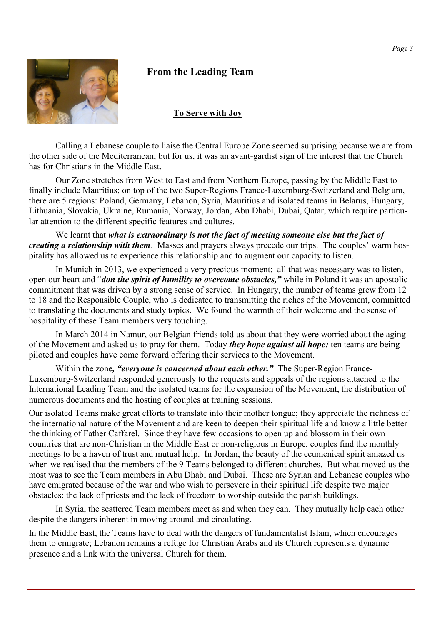# **From the Leading Team**



#### **To Serve with Joy**

Calling a Lebanese couple to liaise the Central Europe Zone seemed surprising because we are from the other side of the Mediterranean; but for us, it was an avant-gardist sign of the interest that the Church has for Christians in the Middle East.

Our Zone stretches from West to East and from Northern Europe, passing by the Middle East to finally include Mauritius; on top of the two Super-Regions France-Luxemburg-Switzerland and Belgium, there are 5 regions: Poland, Germany, Lebanon, Syria, Mauritius and isolated teams in Belarus, Hungary, Lithuania, Slovakia, Ukraine, Rumania, Norway, Jordan, Abu Dhabi, Dubai, Qatar, which require particular attention to the different specific features and cultures.

We learnt that *what is extraordinary is not the fact of meeting someone else but the fact of creating a relationship with them*. Masses and prayers always precede our trips. The couples' warm hospitality has allowed us to experience this relationship and to augment our capacity to listen.

In Munich in 2013, we experienced a very precious moment: all that was necessary was to listen, open our heart and "*don the spirit of humility to overcome obstacles,"* while in Poland it was an apostolic commitment that was driven by a strong sense of service. In Hungary, the number of teams grew from 12 to 18 and the Responsible Couple, who is dedicated to transmitting the riches of the Movement, committed to translating the documents and study topics. We found the warmth of their welcome and the sense of hospitality of these Team members very touching.

In March 2014 in Namur, our Belgian friends told us about that they were worried about the aging of the Movement and asked us to pray for them. Today *they hope against all hope:* ten teams are being piloted and couples have come forward offering their services to the Movement.

Within the zone*, "everyone is concerned about each other."* The Super-Region France-Luxemburg-Switzerland responded generously to the requests and appeals of the regions attached to the International Leading Team and the isolated teams for the expansion of the Movement, the distribution of numerous documents and the hosting of couples at training sessions.

Our isolated Teams make great efforts to translate into their mother tongue; they appreciate the richness of the international nature of the Movement and are keen to deepen their spiritual life and know a little better the thinking of Father Caffarel. Since they have few occasions to open up and blossom in their own countries that are non-Christian in the Middle East or non-religious in Europe, couples find the monthly meetings to be a haven of trust and mutual help. In Jordan, the beauty of the ecumenical spirit amazed us when we realised that the members of the 9 Teams belonged to different churches. But what moved us the most was to see the Team members in Abu Dhabi and Dubai. These are Syrian and Lebanese couples who have emigrated because of the war and who wish to persevere in their spiritual life despite two major obstacles: the lack of priests and the lack of freedom to worship outside the parish buildings.

In Syria, the scattered Team members meet as and when they can. They mutually help each other despite the dangers inherent in moving around and circulating.

In the Middle East, the Teams have to deal with the dangers of fundamentalist Islam, which encourages them to emigrate; Lebanon remains a refuge for Christian Arabs and its Church represents a dynamic presence and a link with the universal Church for them.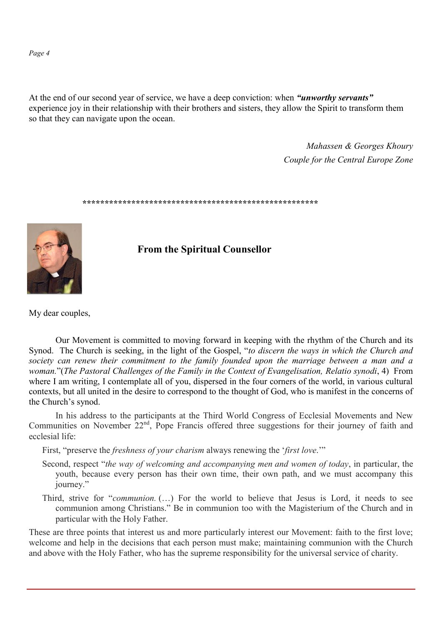*Page 4*

At the end of our second year of service, we have a deep conviction: when *"unworthy servants"* experience joy in their relationship with their brothers and sisters, they allow the Spirit to transform them so that they can navigate upon the ocean.

> *Mahassen & Georges Khoury Couple for the Central Europe Zone*

**\*\*\*\*\*\*\*\*\*\*\*\*\*\*\*\*\*\*\*\*\*\*\*\*\*\*\*\*\*\*\*\*\*\*\*\*\*\*\*\*\*\*\*\*\*\*\*\*\*\*\*\*\***



**From the Spiritual Counsellor**

My dear couples,

Our Movement is committed to moving forward in keeping with the rhythm of the Church and its Synod. The Church is seeking, in the light of the Gospel, "*to discern the ways in which the Church and society can renew their commitment to the family founded upon the marriage between a man and a woman.*"(*The Pastoral Challenges of the Family in the Context of Evangelisation, Relatio synodi*, 4) From where I am writing, I contemplate all of you, dispersed in the four corners of the world, in various cultural contexts, but all united in the desire to correspond to the thought of God, who is manifest in the concerns of the Church's synod.

In his address to the participants at the Third World Congress of Ecclesial Movements and New Communities on November  $22<sup>nd</sup>$ , Pope Francis offered three suggestions for their journey of faith and ecclesial life:

First, "preserve the *freshness of your charism* always renewing the '*first love*.'"

- Second, respect "*the way of welcoming and accompanying men and women of today*, in particular, the youth, because every person has their own time, their own path, and we must accompany this journey."
- Third, strive for "*communion.* (…) For the world to believe that Jesus is Lord, it needs to see communion among Christians." Be in communion too with the Magisterium of the Church and in particular with the Holy Father.

These are three points that interest us and more particularly interest our Movement: faith to the first love; welcome and help in the decisions that each person must make; maintaining communion with the Church and above with the Holy Father, who has the supreme responsibility for the universal service of charity.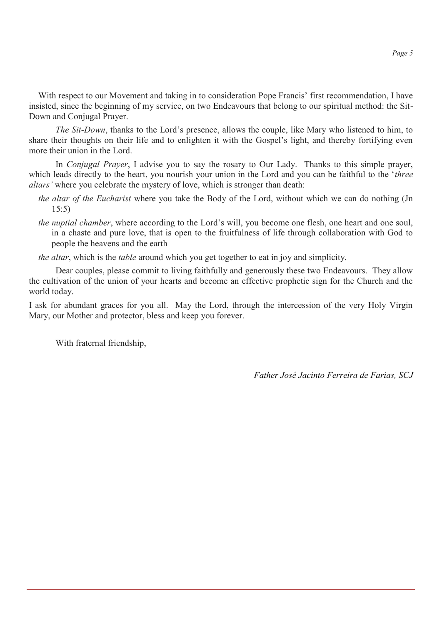With respect to our Movement and taking in to consideration Pope Francis' first recommendation, I have insisted, since the beginning of my service, on two Endeavours that belong to our spiritual method: the Sit-Down and Conjugal Prayer.

*The Sit-Down*, thanks to the Lord's presence, allows the couple, like Mary who listened to him, to share their thoughts on their life and to enlighten it with the Gospel's light, and thereby fortifying even more their union in the Lord.

In *Conjugal Prayer*, I advise you to say the rosary to Our Lady. Thanks to this simple prayer, which leads directly to the heart, you nourish your union in the Lord and you can be faithful to the '*three altars'* where you celebrate the mystery of love, which is stronger than death:

- *the altar of the Eucharist* where you take the Body of the Lord, without which we can do nothing (Jn 15:5)
- *the nuptial chamber*, where according to the Lord's will, you become one flesh, one heart and one soul, in a chaste and pure love, that is open to the fruitfulness of life through collaboration with God to people the heavens and the earth

*the altar*, which is the *table* around which you get together to eat in joy and simplicity.

Dear couples, please commit to living faithfully and generously these two Endeavours. They allow the cultivation of the union of your hearts and become an effective prophetic sign for the Church and the world today.

I ask for abundant graces for you all. May the Lord, through the intercession of the very Holy Virgin Mary, our Mother and protector, bless and keep you forever.

With fraternal friendship,

*Father José Jacinto Ferreira de Farias, SCJ*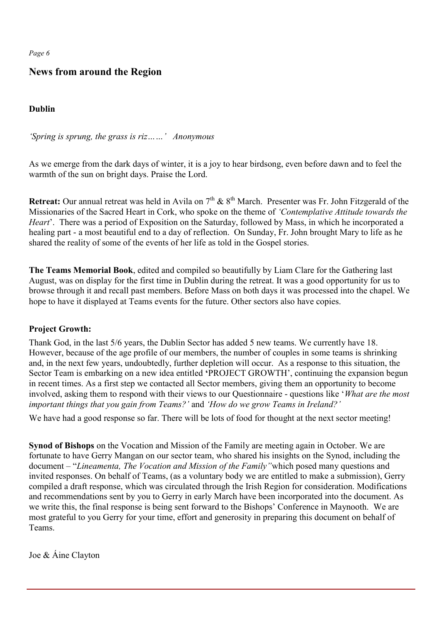*Page 6*

# **News from around the Region**

**Dublin** 

*'Spring is sprung, the grass is riz……' Anonymous*

As we emerge from the dark days of winter, it is a joy to hear birdsong, even before dawn and to feel the warmth of the sun on bright days. Praise the Lord.

**Retreat:** Our annual retreat was held in Avila on  $7<sup>th</sup>$  &  $8<sup>th</sup>$  March. Presenter was Fr. John Fitzgerald of the Missionaries of the Sacred Heart in Cork, who spoke on the theme of *'Contemplative Attitude towards the Heart*'. There was a period of Exposition on the Saturday, followed by Mass, in which he incorporated a healing part - a most beautiful end to a day of reflection. On Sunday, Fr. John brought Mary to life as he shared the reality of some of the events of her life as told in the Gospel stories.

**The Teams Memorial Book**, edited and compiled so beautifully by Liam Clare for the Gathering last August, was on display for the first time in Dublin during the retreat. It was a good opportunity for us to browse through it and recall past members. Before Mass on both days it was processed into the chapel. We hope to have it displayed at Teams events for the future. Other sectors also have copies.

#### **Project Growth:**

Thank God, in the last 5/6 years, the Dublin Sector has added 5 new teams. We currently have 18. However, because of the age profile of our members, the number of couples in some teams is shrinking and, in the next few years, undoubtedly, further depletion will occur. As a response to this situation, the Sector Team is embarking on a new idea entitled **'**PROJECT GROWTH', continuing the expansion begun in recent times. As a first step we contacted all Sector members, giving them an opportunity to become involved, asking them to respond with their views to our Questionnaire - questions like '*What are the most important things that you gain from Teams?'* and *'How do we grow Teams in Ireland?'*

We have had a good response so far. There will be lots of food for thought at the next sector meeting!

**Synod of Bishops** on the Vocation and Mission of the Family are meeting again in October. We are fortunate to have Gerry Mangan on our sector team, who shared his insights on the Synod, including the document – "*Lineamenta, The Vocation and Mission of the Family"*which posed many questions and invited responses. On behalf of Teams, (as a voluntary body we are entitled to make a submission), Gerry compiled a draft response, which was circulated through the Irish Region for consideration. Modifications and recommendations sent by you to Gerry in early March have been incorporated into the document. As we write this, the final response is being sent forward to the Bishops' Conference in Maynooth. We are most grateful to you Gerry for your time, effort and generosity in preparing this document on behalf of Teams.

Joe & Áine Clayton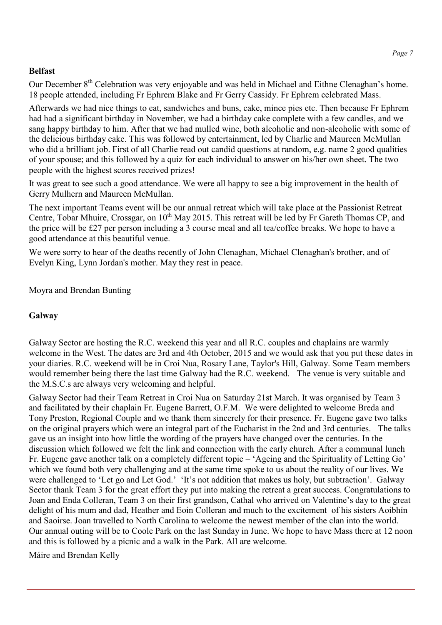### **Belfast**

Our December 8<sup>th</sup> Celebration was very enjoyable and was held in Michael and Eithne Clenaghan's home. 18 people attended, including Fr Ephrem Blake and Fr Gerry Cassidy. Fr Ephrem celebrated Mass.

Afterwards we had nice things to eat, sandwiches and buns, cake, mince pies etc. Then because Fr Ephrem had had a significant birthday in November, we had a birthday cake complete with a few candles, and we sang happy birthday to him. After that we had mulled wine, both alcoholic and non-alcoholic with some of the delicious birthday cake. This was followed by entertainment, led by Charlie and Maureen McMullan who did a brilliant job. First of all Charlie read out candid questions at random, e.g. name 2 good qualities of your spouse; and this followed by a quiz for each individual to answer on his/her own sheet. The two people with the highest scores received prizes!

It was great to see such a good attendance. We were all happy to see a big improvement in the health of Gerry Mulhern and Maureen McMullan.

The next important Teams event will be our annual retreat which will take place at the Passionist Retreat Centre, Tobar Mhuire, Crossgar, on 10<sup>th</sup> May 2015. This retreat will be led by Fr Gareth Thomas CP, and the price will be £27 per person including a 3 course meal and all tea/coffee breaks. We hope to have a good attendance at this beautiful venue.

We were sorry to hear of the deaths recently of John Clenaghan, Michael Clenaghan's brother, and of Evelyn King, Lynn Jordan's mother. May they rest in peace.

Moyra and Brendan Bunting

## **Galway**

Galway Sector are hosting the R.C. weekend this year and all R.C. couples and chaplains are warmly welcome in the West. The dates are 3rd and 4th October, 2015 and we would ask that you put these dates in your diaries. R.C. weekend will be in Croi Nua, Rosary Lane, Taylor's Hill, Galway. Some Team members would remember being there the last time Galway had the R.C. weekend. The venue is very suitable and the M.S.C.s are always very welcoming and helpful.

Galway Sector had their Team Retreat in Croi Nua on Saturday 21st March. It was organised by Team 3 and facilitated by their chaplain Fr. Eugene Barrett, O.F.M. We were delighted to welcome Breda and Tony Preston, Regional Couple and we thank them sincerely for their presence. Fr. Eugene gave two talks on the original prayers which were an integral part of the Eucharist in the 2nd and 3rd centuries. The talks gave us an insight into how little the wording of the prayers have changed over the centuries. In the discussion which followed we felt the link and connection with the early church. After a communal lunch Fr. Eugene gave another talk on a completely different topic – 'Ageing and the Spirituality of Letting Go' which we found both very challenging and at the same time spoke to us about the reality of our lives. We were challenged to 'Let go and Let God.' 'It's not addition that makes us holy, but subtraction'. Galway Sector thank Team 3 for the great effort they put into making the retreat a great success. Congratulations to Joan and Enda Colleran, Team 3 on their first grandson, Cathal who arrived on Valentine's day to the great delight of his mum and dad, Heather and Eoin Colleran and much to the excitement of his sisters Aoibhín and Saoirse. Joan travelled to North Carolina to welcome the newest member of the clan into the world. Our annual outing will be to Coole Park on the last Sunday in June. We hope to have Mass there at 12 noon and this is followed by a picnic and a walk in the Park. All are welcome.

Máire and Brendan Kelly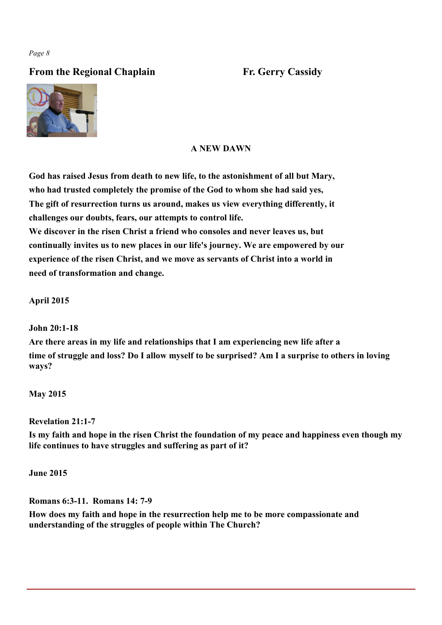# **From the Regional Chaplain Fr. Gerry Cassidy**



# **A NEW DAWN**

**God has raised Jesus from death to new life, to the astonishment of all but Mary, who had trusted completely the promise of the God to whom she had said yes, The gift of resurrection turns us around, makes us view everything differently, it challenges our doubts, fears, our attempts to control life. We discover in the risen Christ a friend who consoles and never leaves us, but**

**continually invites us to new places in our life's journey. We are empowered by our experience of the risen Christ, and we move as servants of Christ into a world in need of transformation and change.**

**April 2015**

#### **John 20:1-18**

**Are there areas in my life and relationships that I am experiencing new life after a time of struggle and loss? Do I allow myself to be surprised? Am I a surprise to others in loving ways?**

**May 2015**

**Revelation 21:1-7**

**Is my faith and hope in the risen Christ the foundation of my peace and happiness even though my life continues to have struggles and suffering as part of it?**

**June 2015**

**Romans 6:3-11. Romans 14: 7-9**

**How does my faith and hope in the resurrection help me to be more compassionate and understanding of the struggles of people within The Church?**

*Page 8*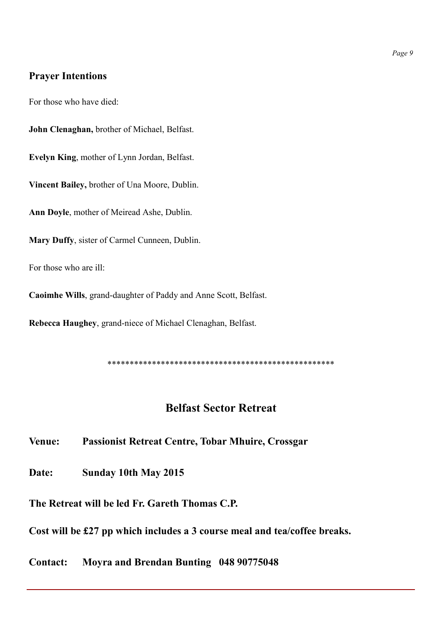# **Prayer Intentions**

For those who have died:

**John Clenaghan,** brother of Michael, Belfast.

**Evelyn King**, mother of Lynn Jordan, Belfast.

**Vincent Bailey,** brother of Una Moore, Dublin.

**Ann Doyle**, mother of Meiread Ashe, Dublin.

**Mary Duffy**, sister of Carmel Cunneen, Dublin.

For those who are ill:

**Caoimhe Wills**, grand-daughter of Paddy and Anne Scott, Belfast.

**Rebecca Haughey**, grand-niece of Michael Clenaghan, Belfast.

\*\*\*\*\*\*\*\*\*\*\*\*\*\*\*\*\*\*\*\*\*\*\*\*\*\*\*\*\*\*\*\*\*\*\*\*\*\*\*\*\*\*\*\*\*\*\*\*\*\*\*

# **Belfast Sector Retreat**

**Venue: Passionist Retreat Centre, Tobar Mhuire, Crossgar**

**Date: Sunday 10th May 2015**

**The Retreat will be led Fr. Gareth Thomas C.P.**

**Cost will be £27 pp which includes a 3 course meal and tea/coffee breaks.** 

**Contact: Moyra and Brendan Bunting 048 90775048**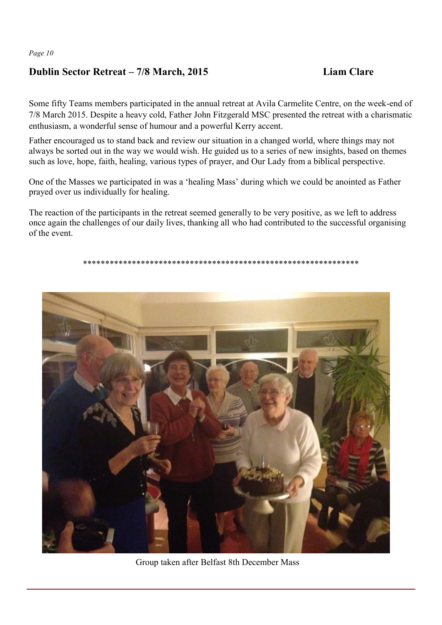# **Dublin Sector Retreat – 7/8 March, 2015 Liam Clare**

Some fifty Teams members participated in the annual retreat at Avila Carmelite Centre, on the week-end of 7/8 March 2015. Despite a heavy cold, Father John Fitzgerald MSC presented the retreat with a charismatic enthusiasm, a wonderful sense of humour and a powerful Kerry accent.

Father encouraged us to stand back and review our situation in a changed world, where things may not always be sorted out in the way we would wish. He guided us to a series of new insights, based on themes such as love, hope, faith, healing, various types of prayer, and Our Lady from a biblical perspective.

One of the Masses we participated in was a 'healing Mass' during which we could be anointed as Father prayed over us individually for healing.

The reaction of the participants in the retreat seemed generally to be very positive, as we left to address once again the challenges of our daily lives, thanking all who had contributed to the successful organising of the event.

\*\*\*\*\*\*\*\*\*\*\*\*\*\*\*\*\*\*\*\*\*\*\*\*\*\*\*\*\*\*\*\*\*\*\*\*\*\*\*\*\*\*\*\*\*\*\*\*\*\*\*\*\*\*\*\*\*\*\*\*\*\*



Group taken after Belfast 8th December Mass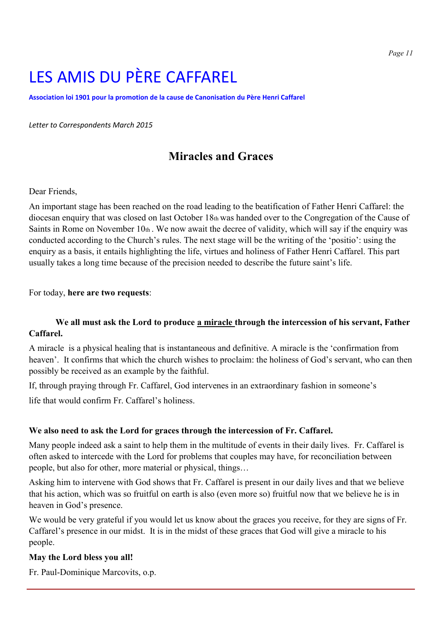# LES AMIS DU PÈRE CAFFAREL

**Association loi 1901 pour la promotion de la cause de Canonisation du Père Henri Caffarel**

*Letter to Correspondents March 2015*

# **Miracles and Graces**

#### Dear Friends,

An important stage has been reached on the road leading to the beatification of Father Henri Caffarel: the diocesan enquiry that was closed on last October 18th was handed over to the Congregation of the Cause of Saints in Rome on November 10th . We now await the decree of validity, which will say if the enquiry was conducted according to the Church's rules. The next stage will be the writing of the 'positio': using the enquiry as a basis, it entails highlighting the life, virtues and holiness of Father Henri Caffarel. This part usually takes a long time because of the precision needed to describe the future saint's life.

#### For today, **here are two requests**:

### **We all must ask the Lord to produce a miracle through the intercession of his servant, Father Caffarel.**

A miracle is a physical healing that is instantaneous and definitive. A miracle is the 'confirmation from heaven'. It confirms that which the church wishes to proclaim: the holiness of God's servant, who can then possibly be received as an example by the faithful.

If, through praying through Fr. Caffarel, God intervenes in an extraordinary fashion in someone's

life that would confirm Fr. Caffarel's holiness.

#### **We also need to ask the Lord for graces through the intercession of Fr. Caffarel.**

Many people indeed ask a saint to help them in the multitude of events in their daily lives. Fr. Caffarel is often asked to intercede with the Lord for problems that couples may have, for reconciliation between people, but also for other, more material or physical, things…

Asking him to intervene with God shows that Fr. Caffarel is present in our daily lives and that we believe that his action, which was so fruitful on earth is also (even more so) fruitful now that we believe he is in heaven in God's presence.

We would be very grateful if you would let us know about the graces you receive, for they are signs of Fr. Caffarel's presence in our midst. It is in the midst of these graces that God will give a miracle to his people.

#### **May the Lord bless you all!**

Fr. Paul-Dominique Marcovits, o.p.